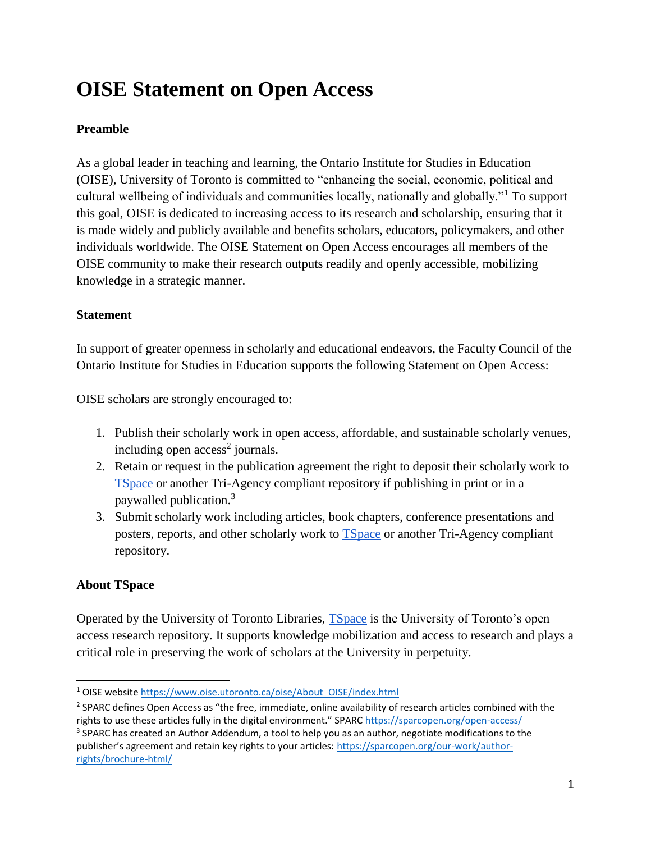# **OISE Statement on Open Access**

# **Preamble**

As a global leader in teaching and learning, the Ontario Institute for Studies in Education (OISE), University of Toronto is committed to "enhancing the social, economic, political and cultural wellbeing of individuals and communities locally, nationally and globally."<sup>1</sup> To support this goal, OISE is dedicated to increasing access to its research and scholarship, ensuring that it is made widely and publicly available and benefits scholars, educators, policymakers, and other individuals worldwide. The OISE Statement on Open Access encourages all members of the OISE community to make their research outputs readily and openly accessible, mobilizing knowledge in a strategic manner.

### **Statement**

In support of greater openness in scholarly and educational endeavors, the Faculty Council of the Ontario Institute for Studies in Education supports the following Statement on Open Access:

OISE scholars are strongly encouraged to:

- 1. Publish their scholarly work in open access, affordable, and sustainable scholarly venues, including open  $access^2$  journals.
- 2. Retain or request in the publication agreement the right to deposit their scholarly work to [TSpace](https://tspace.library.utoronto.ca/) or another Tri-Agency compliant repository if publishing in print or in a paywalled publication.<sup>3</sup>
- 3. Submit scholarly work including articles, book chapters, conference presentations and posters, reports, and other scholarly work to **TSpace** or another Tri-Agency compliant repository.

### **About TSpace**

Operated by the University of Toronto Libraries, [TSpace](https://tspace.library.utoronto.ca/) is the University of Toronto's open access research repository. It supports knowledge mobilization and access to research and plays a critical role in preserving the work of scholars at the University in perpetuity.

<sup>&</sup>lt;sup>1</sup> OISE website [https://www.oise.utoronto.ca/oise/About\\_OISE/index.html](https://www.oise.utoronto.ca/oise/About_OISE/index.html)

<sup>&</sup>lt;sup>2</sup> SPARC defines Open Access as "the free, immediate, online availability of research articles combined with the rights to use these articles fully in the digital environment." SPARC <https://sparcopen.org/open-access/> <sup>3</sup> SPARC has created an Author Addendum, a tool to help you as an author, negotiate modifications to the publisher's agreement and retain key rights to your articles: [https://sparcopen.org/our-work/author](https://sparcopen.org/our-work/author-rights/brochure-html/)[rights/brochure-html/](https://sparcopen.org/our-work/author-rights/brochure-html/)